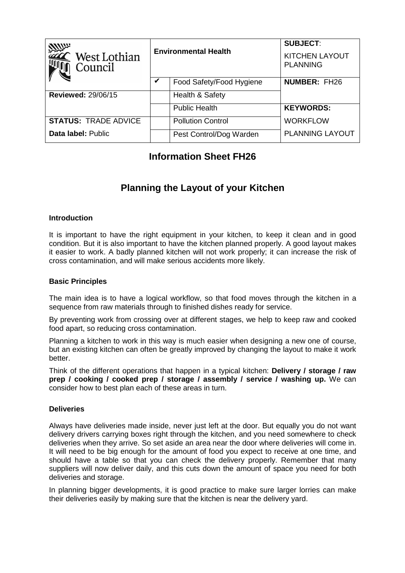| William<br>West Lothian<br>Council | <b>Environmental Health</b> |                          | <b>SUBJECT:</b><br><b>KITCHEN LAYOUT</b><br><b>PLANNING</b> |
|------------------------------------|-----------------------------|--------------------------|-------------------------------------------------------------|
|                                    | V                           | Food Safety/Food Hygiene | <b>NUMBER: FH26</b>                                         |
| <b>Reviewed: 29/06/15</b>          |                             | Health & Safety          |                                                             |
|                                    |                             | <b>Public Health</b>     | <b>KEYWORDS:</b>                                            |
| <b>STATUS: TRADE ADVICE</b>        |                             | <b>Pollution Control</b> | <b>WORKFLOW</b>                                             |
| Data label: Public                 |                             | Pest Control/Dog Warden  | <b>PLANNING LAYOUT</b>                                      |

# **Information Sheet FH26**

# **Planning the Layout of your Kitchen**

# **Introduction**

It is important to have the right equipment in your kitchen, to keep it clean and in good condition. But it is also important to have the kitchen planned properly. A good layout makes it easier to work. A badly planned kitchen will not work properly; it can increase the risk of cross contamination, and will make serious accidents more likely.

# **Basic Principles**

The main idea is to have a logical workflow, so that food moves through the kitchen in a sequence from raw materials through to finished dishes ready for service.

By preventing work from crossing over at different stages, we help to keep raw and cooked food apart, so reducing cross contamination.

Planning a kitchen to work in this way is much easier when designing a new one of course, but an existing kitchen can often be greatly improved by changing the layout to make it work better.

Think of the different operations that happen in a typical kitchen: **Delivery / storage / raw prep / cooking / cooked prep / storage / assembly / service / washing up.** We can consider how to best plan each of these areas in turn.

#### **Deliveries**

Always have deliveries made inside, never just left at the door. But equally you do not want delivery drivers carrying boxes right through the kitchen, and you need somewhere to check deliveries when they arrive. So set aside an area near the door where deliveries will come in. It will need to be big enough for the amount of food you expect to receive at one time, and should have a table so that you can check the delivery properly. Remember that many suppliers will now deliver daily, and this cuts down the amount of space you need for both deliveries and storage.

In planning bigger developments, it is good practice to make sure larger lorries can make their deliveries easily by making sure that the kitchen is near the delivery yard.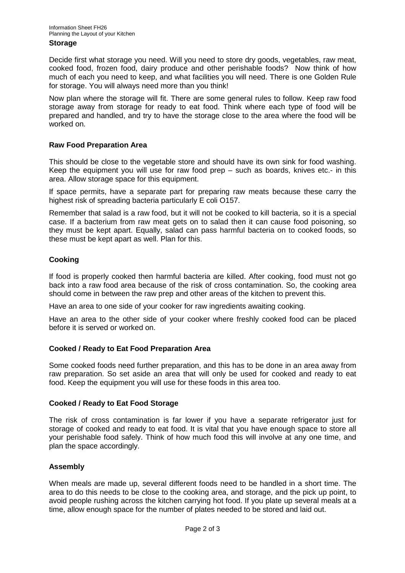#### **Storage**

Decide first what storage you need. Will you need to store dry goods, vegetables, raw meat, cooked food, frozen food, dairy produce and other perishable foods? Now think of how much of each you need to keep, and what facilities you will need. There is one Golden Rule for storage. You will always need more than you think!

Now plan where the storage will fit. There are some general rules to follow. Keep raw food storage away from storage for ready to eat food. Think where each type of food will be prepared and handled, and try to have the storage close to the area where the food will be worked on.

# **Raw Food Preparation Area**

This should be close to the vegetable store and should have its own sink for food washing. Keep the equipment you will use for raw food prep  $-$  such as boards, knives etc. $\cdot$  in this area. Allow storage space for this equipment.

If space permits, have a separate part for preparing raw meats because these carry the highest risk of spreading bacteria particularly E coli O157.

Remember that salad is a raw food, but it will not be cooked to kill bacteria, so it is a special case. If a bacterium from raw meat gets on to salad then it can cause food poisoning, so they must be kept apart. Equally, salad can pass harmful bacteria on to cooked foods, so these must be kept apart as well. Plan for this.

# **Cooking**

If food is properly cooked then harmful bacteria are killed. After cooking, food must not go back into a raw food area because of the risk of cross contamination. So, the cooking area should come in between the raw prep and other areas of the kitchen to prevent this.

Have an area to one side of your cooker for raw ingredients awaiting cooking.

Have an area to the other side of your cooker where freshly cooked food can be placed before it is served or worked on.

#### **Cooked / Ready to Eat Food Preparation Area**

Some cooked foods need further preparation, and this has to be done in an area away from raw preparation. So set aside an area that will only be used for cooked and ready to eat food. Keep the equipment you will use for these foods in this area too.

#### **Cooked / Ready to Eat Food Storage**

The risk of cross contamination is far lower if you have a separate refrigerator just for storage of cooked and ready to eat food. It is vital that you have enough space to store all your perishable food safely. Think of how much food this will involve at any one time, and plan the space accordingly.

#### **Assembly**

When meals are made up, several different foods need to be handled in a short time. The area to do this needs to be close to the cooking area, and storage, and the pick up point, to avoid people rushing across the kitchen carrying hot food. If you plate up several meals at a time, allow enough space for the number of plates needed to be stored and laid out.